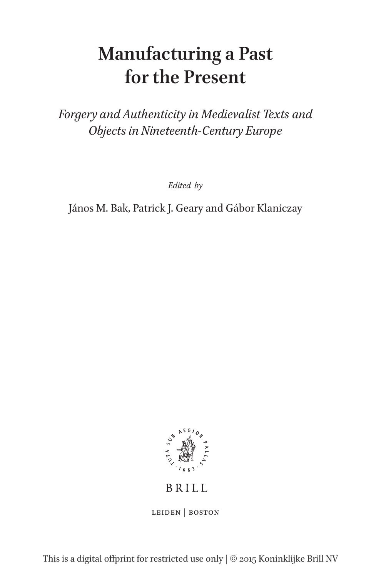# **Manufacturing a Past for the Present**

*Forgery and Authenticity in Medievalist Texts and Objects in Nineteenth-Century Europe*

*Edited by*

János M. Bak, Patrick J. Geary and Gábor Klaniczay



**BRILL** 

LEIDEN | BOSTON

<span id="page-0-0"></span>This is a digital offprint for restricted use only | © 2015 Koninklijke Brill NV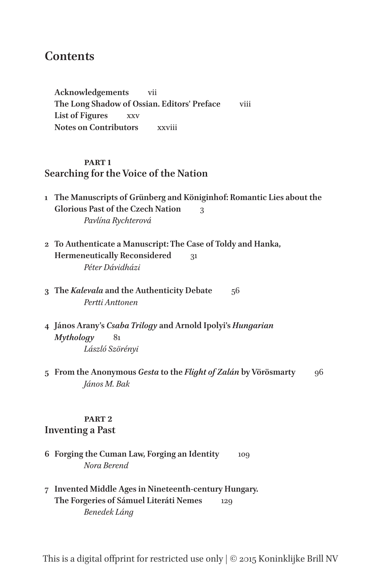# **Contents**

**Acknowledgements** vii **The Long Shadow of Ossian. Editors' Preface** viii **List of Figures** xxv **Notes on Contributors** xxviii

## **part 1 [Searching for the Voice of the Nation](#page-0-0)**

- **1 The Manuscripts of Grünberg and Königinhof: Romantic Lies about the**  Glorious Past of the Czech Nation [3](#page-2-0) *Pavlína Rychterová*
- **2 [To Authenticate a Manuscript: The Case of Toldy and Hanka,](#page-0-0)  [Hermeneutically Reconsidered](#page-0-0)** 31 *Péter Dávidházi*
- **3 The** *Kalevala* **[and the Authenticity Debate](#page-0-0)** 56 *Pertti Anttonen*
- **4 János Arany's** *Csaba Trilogy* **[and Arnold Ipolyi's](#page-0-0)** *Hungarian [Mythology](#page-0-0)* 81 *László Szörényi*
- **5 [From the Anonymous](#page-0-0)** *Gesta* **to the** *Flight of Zalán* **by Vörösmarty** 96 *János M. Bak*

## **part 2 [Inventing a Past](#page-0-0)**

- **6 [Forging the Cuman Law, Forging an Identity](#page-2-0)** 109 *Nora Berend*
- **7 [Invented Middle Ages in Nineteenth-century Hungary.](#page-0-0)  [The Forgeries of Sámuel Literáti Nemes](#page-0-0)** 129 *Benedek Láng*

This is a digital offprint for restricted use only | © 2015 Koninklijke Brill NV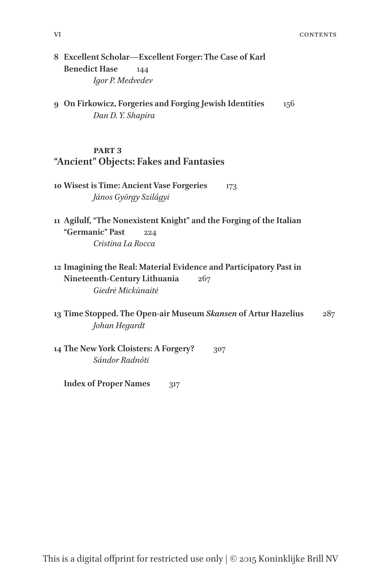<span id="page-2-0"></span>VI CONTENTS

- **8 [Excellent Scholar—Excellent Forger: The Case of Karl](#page-0-0)  [Benedict Hase](#page-0-0)** 144 *Igor P. Medvedev*
- **9 [On Firkowicz, Forgeries and Forging Jewish Identities](#page-0-0)** 156 *Dan D. Y. Shapira*

## **part 3 ["Ancient" Objects: Fakes and Fantasies](#page-0-0)**

**10 Wisest is Time: Ancient Vase Forgeries** 173 *János György Szilágyi*

**11 [Agilulf, "The Nonexistent Knight" and the Forging of the Italian](#page-0-0)  ["Germanic" Past](#page-0-0)** 224 *Cristina La Rocca*

- **12 [Imagining the Real: Material Evidence and Participatory Past in](#page-0-0)  [Nineteenth-Century Lithuania](#page-0-0)** 267 *Giedrė Mickūnaitė*
- **13 [Time Stopped. The Open-air Museum](#page-0-0)** *Skansen* **of Artur Hazelius** 287 *Johan Hegardt*
- **14 [The New York Cloisters: A Forgery?](#page-0-0)** 307 *Sándor Radnóti*

**Index of Proper Names** 317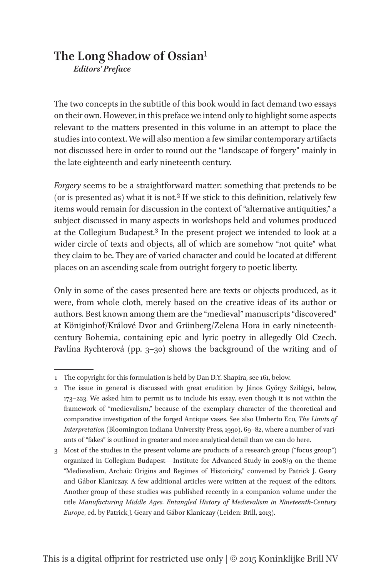# **The Long Shadow of Ossian**1 *Editors' Preface*

The two concepts in the subtitle of this book would in fact demand two essays on their own. However, in this preface we intend only to highlight some aspects relevant to the matters presented in this volume in an attempt to place the studies into context. We will also mention a few similar contemporary artifacts not discussed here in order to round out the "landscape of forgery" mainly in the late eighteenth and early nineteenth century.

*Forgery* seems to be a straightforward matter: something that pretends to be (or is presented as) what it is not.2 If we stick to this definition, relatively few items would remain for discussion in the context of "alternative antiquities," a subject discussed in many aspects in workshops held and volumes produced at the Collegium Budapest.3 In the present project we intended to look at a wider circle of texts and objects, all of which are somehow "not quite" what they claim to be. They are of varied character and could be located at different places on an ascending scale from outright forgery to poetic liberty.

Only in some of the cases presented here are texts or objects produced, as it were, from whole cloth, merely based on the creative ideas of its author or authors. Best known among them are the "medieval" manuscripts "discovered" at Königinhof/Králové Dvor and Grünberg/Zelena Hora in early nineteenthcentury Bohemia, containing epic and lyric poetry in allegedly Old Czech. Pavlína Rychterová (pp. 3–30) shows the background of the writing and of

<sup>1</sup> The copyright for this formulation is held by Dan D.Y. Shapira, see 161, below.

<sup>2</sup> The issue in general is discussed with great erudition by János György Szilágyi, below, 173–223. We asked him to permit us to include his essay, even though it is not within the framework of "medievalism," because of the exemplary character of the theoretical and comparative investigation of the forged Antique vases. See also Umberto Eco, *The Limits of Interpretation* (Bloomington Indiana University Press, 1990), 69–82, where a number of variants of "fakes" is outlined in greater and more analytical detail than we can do here.

<sup>3</sup> Most of the studies in the present volume are products of a research group ("focus group") organized in Collegium Budapest—Institute for Advanced Study in 2008/9 on the theme "Medievalism, Archaic Origins and Regimes of Historicity," convened by Patrick J. Geary and Gábor Klaniczay. A few additional articles were written at the request of the editors. Another group of these studies was published recently in a companion volume under the title *Manufacturing Middle Ages. Entangled History of Medievalism in Nineteenth-Century Europe*, ed. by Patrick J. Geary and Gábor Klaniczay (Leiden: Brill, 2013).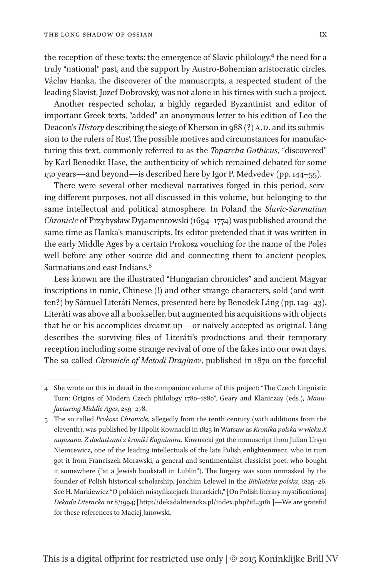the reception of these texts: the emergence of Slavic philology,<sup>4</sup> the need for a truly "national" past, and the support by Austro-Bohemian aristocratic circles. Václav Hanka, the discoverer of the manuscripts, a respected student of the leading Slavist, Jozef Dobrovský, was not alone in his times with such a project.

Another respected scholar, a highly regarded Byzantinist and editor of important Greek texts, "added" an anonymous letter to his edition of Leo the Deacon's *History* describing the siege of Kherson in 988 (?) A.D. and its submission to the rulers of Rus'. The possible motives and circumstances for manufacturing this text, commonly referred to as the *Toparcha Gothicus*, "discovered" by Karl Benedikt Hase, the authenticity of which remained debated for some 150 years—and beyond—is described here by Igor P. Medvedev (pp. 144–55).

There were several other medieval narratives forged in this period, serving different purposes, not all discussed in this volume, but belonging to the same intellectual and political atmosphere. In Poland the *Slavic-Sarmatian Chronicle* of Przybysław Dyjamentowski (1694–1774) was published around the same time as Hanka's manuscripts. Its editor pretended that it was written in the early Middle Ages by a certain Prokosz vouching for the name of the Poles well before any other source did and connecting them to ancient peoples, Sarmatians and east Indians.5

Less known are the illustrated "Hungarian chronicles" and ancient Magyar inscriptions in runic, Chinese (!) and other strange characters, sold (and written?) by Sámuel Literáti Nemes, presented here by Benedek Láng (pp. 129–43). Literáti was above all a bookseller, but augmented his acquisitions with objects that he or his accomplices dreamt up—or naively accepted as original. Láng describes the surviving files of Literáti's productions and their temporary reception including some strange revival of one of the fakes into our own days. The so called *Chronicle of Metodi Draginov*, published in 1870 on the forceful

<sup>4</sup> She wrote on this in detail in the companion volume of this project: "The Czech Linguistic Turn: Origins of Modern Czech philology 1780–1880", Geary and Klaniczay (eds.), *Manufacturing Middle Ages*, 259–278.

<sup>5</sup> The so called *Prokosz Chronicle*, allegedly from the tenth century (with additions from the eleventh), was published by Hipolit Kownacki in 1825 in Warsaw as *Kronika polska w wieku X napisana. Z dodatkami z kroniki Kagnimira*. Kownacki got the manuscript from Julian Ursyn Niemcewicz, one of the leading intellectuals of the late Polish enlightenment, who in turn got it from Franciszek Morawski, a general and sentimentalist-classicist poet, who bought it somewhere ("at a Jewish bookstall in Lublin"). The forgery was soon unmasked by the founder of Polish historical scholarship, Joachim Lelewel in the *Biblioteka polska*, 1825–26. See H. Markiewicz "O polskich mistyfikacjach literackich," [On Polish literary mystifications] *Dekada Literacka* nr 8/1994; [http://dekadaliteracka.pl/index.php?id=3181 ]—We are grateful for these references to Maciej Janowski.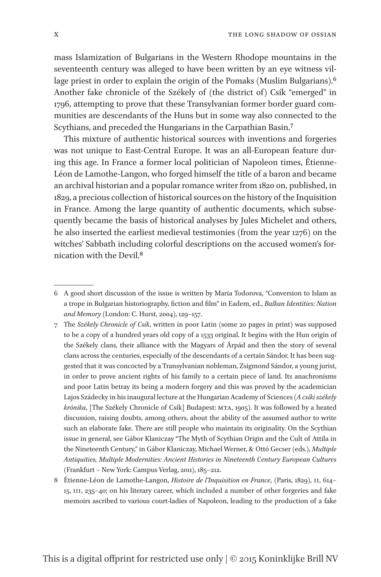mass Islamization of Bulgarians in the Western Rhodope mountains in the seventeenth century was alleged to have been written by an eye witness village priest in order to explain the origin of the Pomaks (Muslim Bulgarians).<sup>6</sup> Another fake chronicle of the Székely of (the district of) Csík "emerged" in 1796, attempting to prove that these Transylvanian former border guard communities are descendants of the Huns but in some way also connected to the Scythians, and preceded the Hungarians in the Carpathian Basin.7

This mixture of authentic historical sources with inventions and forgeries was not unique to East-Central Europe. It was an all-European feature during this age. In France a former local politician of Napoleon times, Étienne-Léon de Lamothe-Langon, who forged himself the title of a baron and became an archival historian and a popular romance writer from 1820 on, published, in 1829, a precious collection of historical sources on the history of the Inquisition in France. Among the large quantity of authentic documents, which subsequently became the basis of historical analyses by Jules Michelet and others, he also inserted the earliest medieval testimonies (from the year 1276) on the witches' Sabbath including colorful descriptions on the accused women's fornication with the Devil.8

<sup>6</sup> A good short discussion of the issue is written by Maria Todorova, "Conversion to Islam as a trope in Bulgarian historiography, fiction and film" in Eadem, ed., *Balkan Identities: Nation and Memory* (London: C. Hurst, 2004), 129–157.

<sup>7</sup> The *Székely Chronicle of Csík*, written in poor Latin (some 20 pages in print) was supposed to be a copy of a hundred years old copy of a 1533 original. It begins with the Hun origin of the Székely clans, their alliance with the Magyars of Árpád and then the story of several clans across the centuries, especially of the descendants of a certain Sándor. It has been suggested that it was concocted by a Transylvanian nobleman, Zsigmond Sándor, a young jurist, in order to prove ancient rights of his family to a certain piece of land. Its anachronisms and poor Latin betray its being a modern forgery and this was proved by the academician Lajos Szádecky in his inaugural lecture at the Hungarian Academy of Sciences (*A csíki székely*  krónika, [The Székely Chronicle of Csík] Budapest: MTA, 1905). It was followed by a heated discussion, raising doubts, among others, about the ability of the assumed author to write such an elaborate fake. There are still people who maintain its originality. On the Scythian issue in general, see Gábor Klaniczay "The Myth of Scythian Origin and the Cult of Attila in the Nineteenth Century," in Gábor Klaniczay, Michael Werner, & Ottó Gecser (eds.), *Multiple Antiquities, Multiple Modernities: Ancient Histories in Nineteenth Century European Cultures* (Frankfurt – New York: Campus Verlag, 2011), 185–212.

<sup>8</sup> Étienne-Léon de Lamothe-Langon, *Histoire de l'Inquisition en France*, (Paris, 1829), 11, 614– 15, iii, 235–40; on his literary career, which included a number of other forgeries and fake memoirs ascribed to various court-ladies of Napoleon, leading to the production of a fake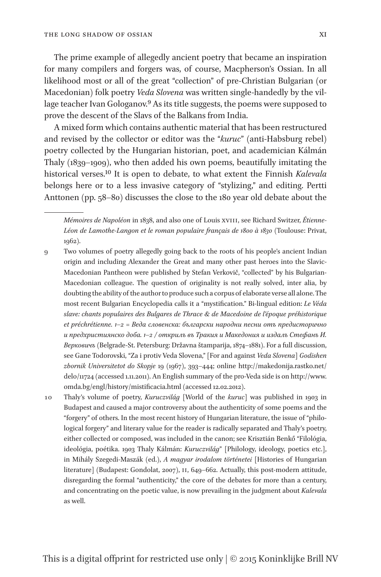The prime example of allegedly ancient poetry that became an inspiration for many compilers and forgers was, of course, Macpherson's Ossian. In all likelihood most or all of the great "collection" of pre-Christian Bulgarian (or Macedonian) folk poetry *Veda Slovena* was written single-handedly by the village teacher Ivan Gologanov.<sup>9</sup> As its title suggests, the poems were supposed to prove the descent of the Slavs of the Balkans from India.

A mixed form which contains authentic material that has been restructured and revised by the collector or editor was the "*kuruc*" (anti-Habsburg rebel) poetry collected by the Hungarian historian, poet, and academician Kálmán Thaly (1839–1909), who then added his own poems, beautifully imitating the historical verses.10 It is open to debate, to what extent the Finnish *Kalevala* belongs here or to a less invasive category of "stylizing," and editing. Pertti Anttonen (pp. 58–80) discusses the close to the 180 year old debate about the

- 9 Two volumes of poetry allegedly going back to the roots of his people's ancient Indian origin and including Alexander the Great and many other past heroes into the Slavic-Macedonian Pantheon were published by Stefan Verkovič, "collected" by his Bulgarian-Macedonian colleague. The question of originality is not really solved, inter alia, by doubting the ability of the author to produce such a corpus of elaborate verse all alone. The most recent Bulgarian Encyclopedia calls it a "mystification." Bi-lingual edition: *Le Véda slave: chants populaires des Bulgares de Thrace & de Macedoine de l'époque préhistorique et préchrétienne. 1–2 = Веда словенска: български народни песни отъ предисторично и предхристиянско доба. 1–2 / открилъ въ Тракия и Македония и издалъ Стефанъ И. Верковичъ* (Belgrade-St. Petersburg: Državna štamparija, 1874–1881). For a full discussion, see Gane Todorovski, "Za i protiv Veda Slovena," [For and against *Veda Slovena*] *Godishen*  zbornik Universitetot do Skopje 19 (1967), 393-444; online http://makedonija.rastko.net/ delo/11724 (accessed 1.11.2011). An English summary of the pro-Veda side is on http://www. omda.bg/engl/history/mistificacia.html (accessed 12.02.2012).
- 10 Thaly's volume of poetry, *Kuruczvilág* [World of the *kuruc*] was published in 1903 in Budapest and caused a major controversy about the authenticity of some poems and the "forgery" of others. In the most recent history of Hungarian literature, the issue of "philological forgery" and literary value for the reader is radically separated and Thaly's poetry, either collected or composed, was included in the canon; see Krisztián Benkő "Filológia, ideológia, poétika. 1903 Thaly Kálmán: *Kuruczvilág*" [Philology, ideology, poetics etc.], in Mihály Szegedi-Maszák (ed.), *A magyar irodalom történetei* [Histories of Hungarian literature] (Budapest: Gondolat, 2007), II, 649-662. Actually, this post-modern attitude, disregarding the formal "authenticity," the core of the debates for more than a century, and concentrating on the poetic value, is now prevailing in the judgment about *Kalevala* as well.

*Mémoires de Napoléon* in 1838, and also one of Louis xviii, see Richard Switzer, *Étienne-Léon de Lamothe-Langon et le roman populaire français de 1800 à 1830* (Toulouse: Privat, 1962).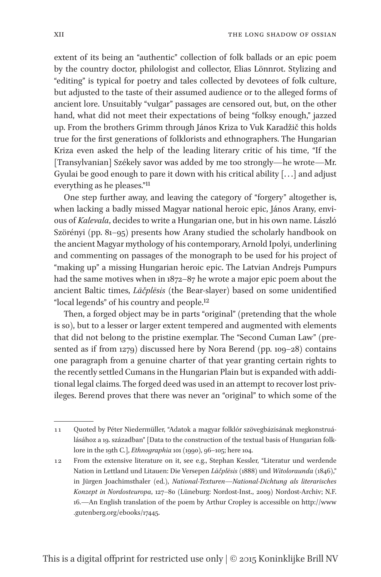extent of its being an "authentic" collection of folk ballads or an epic poem by the country doctor, philologist and collector, Elias Lönnrot. Stylizing and "editing" is typical for poetry and tales collected by devotees of folk culture, but adjusted to the taste of their assumed audience or to the alleged forms of ancient lore. Unsuitably "vulgar" passages are censored out, but, on the other hand, what did not meet their expectations of being "folksy enough," jazzed up. From the brothers Grimm through János Kriza to Vuk Karadžič this holds true for the first generations of folklorists and ethnographers. The Hungarian Kriza even asked the help of the leading literary critic of his time, "If the [Transylvanian] Székely savor was added by me too strongly—he wrote—Mr. Gyulai be good enough to pare it down with his critical ability [. . .] and adjust everything as he pleases."11

One step further away, and leaving the category of "forgery" altogether is, when lacking a badly missed Magyar national heroic epic, János Arany, envious of *Kalevala*, decides to write a Hungarian one, but in his own name. László Szörényi (pp. 81–95) presents how Arany studied the scholarly handbook on the ancient Magyar mythology of his contemporary, Arnold Ipolyi, underlining and commenting on passages of the monograph to be used for his project of "making up" a missing Hungarian heroic epic. The Latvian Andrejs Pumpurs had the same motives when in 1872–87 he wrote a major epic poem about the ancient Baltic times, *Lāčplēsis* (the Bear-slayer) based on some unidentified "local legends" of his country and people.12

Then, a forged object may be in parts "original" (pretending that the whole is so), but to a lesser or larger extent tempered and augmented with elements that did not belong to the pristine exemplar. The "Second Cuman Law" (presented as if from 1279) discussed here by Nora Berend (pp. 109–28) contains one paragraph from a genuine charter of that year granting certain rights to the recently settled Cumans in the Hungarian Plain but is expanded with additional legal claims. The forged deed was used in an attempt to recover lost privileges. Berend proves that there was never an "original" to which some of the

<sup>11</sup> Quoted by Péter Niedermüller, "Adatok a magyar folklór szövegbázisának megkonstruálásához a 19. században" [Data to the construction of the textual basis of Hungarian folklore in the 19th C.], *Ethnographia* 101 (1990), 96–105; here 104.

<sup>12</sup> From the extensive literature on it, see e.g., Stephan Kessler, "Literatur und werdende Nation in Lettland und Litauen: Die Versepen *Lāčplēsis* (1888) und *Witoloraunda* (1846)," in Jürgen Joachimsthaler (ed.), *National-Texturen—National-Dichtung als literarisches Konzept in Nordosteuropa*, 127–80 (Lüneburg: Nordost-Inst., 2009) Nordost-Archiv; N.F. 16.—An English translation of the poem by Arthur Cropley is accessible on http://www .gutenberg.org/ebooks/17445.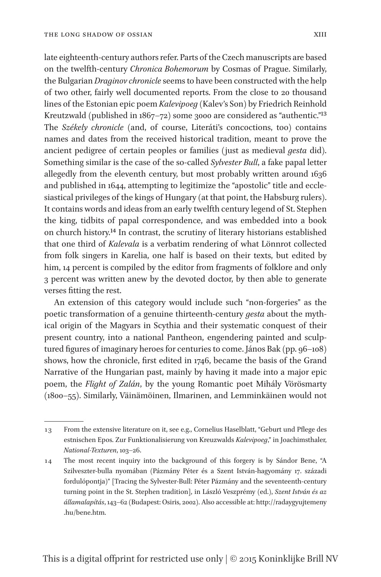late eighteenth-century authors refer. Parts of the Czech manuscripts are based on the twelfth-century *Chronica Bohemorum* by Cosmas of Prague. Similarly, the Bulgarian *Draginov chronicle* seems to have been constructed with the help of two other, fairly well documented reports. From the close to 20 thousand lines of the Estonian epic poem *Kalevipoeg* (Kalev's Son) by Friedrich Reinhold Kreutzwald (published in 1867–72) some 3000 are considered as "authentic."13 The *Székely chronicle* (and, of course, Literáti's concoctions, too) contains names and dates from the received historical tradition, meant to prove the ancient pedigree of certain peoples or families (just as medieval *gesta* did). Something similar is the case of the so-called *Sylvester Bull*, a fake papal letter allegedly from the eleventh century, but most probably written around 1636 and published in 1644, attempting to legitimize the "apostolic" title and ecclesiastical privileges of the kings of Hungary (at that point, the Habsburg rulers). It contains words and ideas from an early twelfth century legend of St. Stephen the king, tidbits of papal correspondence, and was embedded into a book on church history.14 In contrast, the scrutiny of literary historians established that one third of *Kalevala* is a verbatim rendering of what Lönnrot collected from folk singers in Karelia, one half is based on their texts, but edited by him, 14 percent is compiled by the editor from fragments of folklore and only 3 percent was written anew by the devoted doctor, by then able to generate verses fitting the rest.

An extension of this category would include such "non-forgeries" as the poetic transformation of a genuine thirteenth-century *gesta* about the mythical origin of the Magyars in Scythia and their systematic conquest of their present country, into a national Pantheon, engendering painted and sculptured figures of imaginary heroes for centuries to come. János Bak (pp. 96–108) shows, how the chronicle, first edited in 1746, became the basis of the Grand Narrative of the Hungarian past, mainly by having it made into a major epic poem, the *Flight of Zalán*, by the young Romantic poet Mihály Vörösmarty (1800–55). Similarly, Väinämöinen, Ilmarinen, and Lemminkäinen would not

<sup>13</sup> From the extensive literature on it, see e.g., Cornelius Haselblatt, "Geburt und Pflege des estnischen Epos. Zur Funktionalisierung von Kreuzwalds *Kalevipoeg*," in Joachimsthaler, *National-Texturen*, 103–26.

<sup>14</sup> The most recent inquiry into the background of this forgery is by Sándor Bene, "A Szilveszter-bulla nyomában (Pázmány Péter és a Szent István-hagyomány 17. századi fordulópontja)" [Tracing the Sylvester-Bull: Péter Pázmány and the seventeenth-century turning point in the St. Stephen tradition], in László Veszprémy (ed.), *Szent István és az államalapítás*, 143–62 (Budapest: Osiris, 2002). Also accessible at: http://radaygyujtemeny .hu/bene.htm.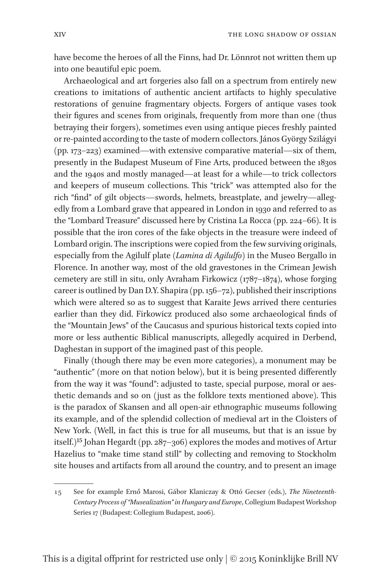have become the heroes of all the Finns, had Dr. Lönnrot not written them up into one beautiful epic poem.

Archaeological and art forgeries also fall on a spectrum from entirely new creations to imitations of authentic ancient artifacts to highly speculative restorations of genuine fragmentary objects. Forgers of antique vases took their figures and scenes from originals, frequently from more than one (thus betraying their forgers), sometimes even using antique pieces freshly painted or re-painted according to the taste of modern collectors. János György Szilágyi (pp. 173–223) examined—with extensive comparative material—six of them, presently in the Budapest Museum of Fine Arts, produced between the 1830s and the 1940s and mostly managed—at least for a while—to trick collectors and keepers of museum collections. This "trick" was attempted also for the rich "find" of gilt objects—swords, helmets, breastplate, and jewelry—allegedly from a Lombard grave that appeared in London in 1930 and referred to as the "Lombard Treasure" discussed here by Cristina La Rocca (pp. 224–66). It is possible that the iron cores of the fake objects in the treasure were indeed of Lombard origin. The inscriptions were copied from the few surviving originals, especially from the Agilulf plate (*Lamina di Agilulfo*) in the Museo Bergallo in Florence. In another way, most of the old gravestones in the Crimean Jewish cemetery are still in situ, only Avraham Firkowicz (1787–1874), whose forging career is outlined by Dan D.Y. Shapira (pp. 156–72), published their inscriptions which were altered so as to suggest that Karaite Jews arrived there centuries earlier than they did. Firkowicz produced also some archaeological finds of the "Mountain Jews" of the Caucasus and spurious historical texts copied into more or less authentic Biblical manuscripts, allegedly acquired in Derbend, Daghestan in support of the imagined past of this people.

Finally (though there may be even more categories), a monument may be "authentic" (more on that notion below), but it is being presented differently from the way it was "found": adjusted to taste, special purpose, moral or aesthetic demands and so on (just as the folklore texts mentioned above). This is the paradox of Skansen and all open-air ethnographic museums following its example, and of the splendid collection of medieval art in the Cloisters of New York. (Well, in fact this is true for all museums, but that is an issue by itself.)15 Johan Hegardt (pp. 287–306) explores the modes and motives of Artur Hazelius to "make time stand still" by collecting and removing to Stockholm site houses and artifacts from all around the country, and to present an image

<sup>15</sup> See for example Ernő Marosi, Gábor Klaniczay & Ottó Gecser (eds.), *The Nineteenth-Century Process of "Musealization" in Hungary and Europe*, Collegium Budapest Workshop Series 17 (Budapest: Collegium Budapest, 2006).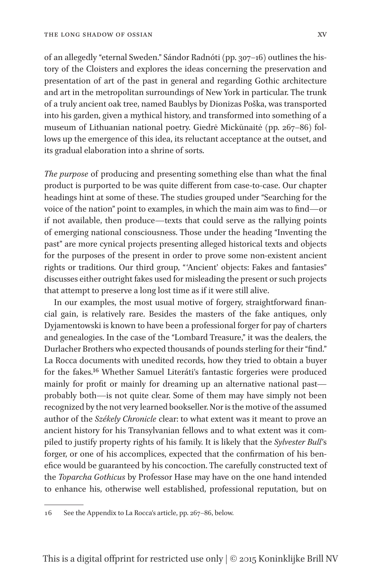of an allegedly "eternal Sweden." Sándor Radnóti (pp. 307–16) outlines the history of the Cloisters and explores the ideas concerning the preservation and presentation of art of the past in general and regarding Gothic architecture and art in the metropolitan surroundings of New York in particular. The trunk of a truly ancient oak tree, named Baublys by Dionizas Poška, was transported into his garden, given a mythical history, and transformed into something of a museum of Lithuanian national poetry. Giedrė Mickūnaitė (pp. 267–86) follows up the emergence of this idea, its reluctant acceptance at the outset, and its gradual elaboration into a shrine of sorts.

*The purpose* of producing and presenting something else than what the final product is purported to be was quite different from case-to-case. Our chapter headings hint at some of these. The studies grouped under "Searching for the voice of the nation" point to examples, in which the main aim was to find—or if not available, then produce—texts that could serve as the rallying points of emerging national consciousness. Those under the heading "Inventing the past" are more cynical projects presenting alleged historical texts and objects for the purposes of the present in order to prove some non-existent ancient rights or traditions. Our third group, "'Ancient' objects: Fakes and fantasies" discusses either outright fakes used for misleading the present or such projects that attempt to preserve a long lost time as if it were still alive.

In our examples, the most usual motive of forgery, straightforward financial gain, is relatively rare. Besides the masters of the fake antiques, only Dyjamentowski is known to have been a professional forger for pay of charters and genealogies. In the case of the "Lombard Treasure," it was the dealers, the Durlacher Brothers who expected thousands of pounds sterling for their "find." La Rocca documents with unedited records, how they tried to obtain a buyer for the fakes.16 Whether Samuel Literáti's fantastic forgeries were produced mainly for profit or mainly for dreaming up an alternative national past probably both—is not quite clear. Some of them may have simply not been recognized by the not very learned bookseller. Nor is the motive of the assumed author of the *Székely Chronicle* clear: to what extent was it meant to prove an ancient history for his Transylvanian fellows and to what extent was it compiled to justify property rights of his family. It is likely that the *Sylvester Bull*'s forger, or one of his accomplices, expected that the confirmation of his benefice would be guaranteed by his concoction. The carefully constructed text of the *Toparcha Gothicus* by Professor Hase may have on the one hand intended to enhance his, otherwise well established, professional reputation, but on

<sup>16</sup> See the Appendix to La Rocca's article, pp. 267–86, below.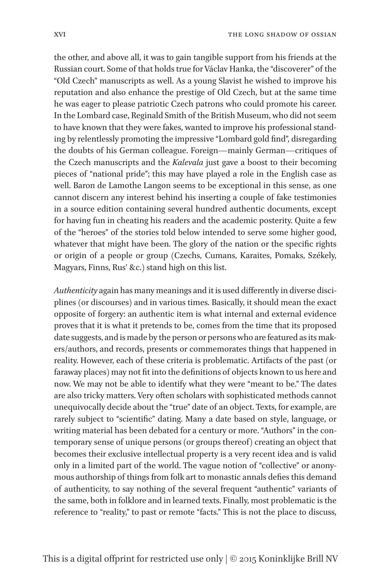the other, and above all, it was to gain tangible support from his friends at the Russian court. Some of that holds true for Václav Hanka, the "discoverer" of the "Old Czech" manuscripts as well. As a young Slavist he wished to improve his reputation and also enhance the prestige of Old Czech, but at the same time he was eager to please patriotic Czech patrons who could promote his career. In the Lombard case, Reginald Smith of the British Museum, who did not seem to have known that they were fakes, wanted to improve his professional standing by relentlessly promoting the impressive "Lombard gold find", disregarding the doubts of his German colleague. Foreign—mainly German—critiques of the Czech manuscripts and the *Kalevala* just gave a boost to their becoming pieces of "national pride"; this may have played a role in the English case as well. Baron de Lamothe Langon seems to be exceptional in this sense, as one cannot discern any interest behind his inserting a couple of fake testimonies in a source edition containing several hundred authentic documents, except for having fun in cheating his readers and the academic posterity. Quite a few of the "heroes" of the stories told below intended to serve some higher good, whatever that might have been. The glory of the nation or the specific rights or origin of a people or group (Czechs, Cumans, Karaites, Pomaks, Székely, Magyars, Finns, Rus' &c.) stand high on this list.

*Authenticity* again has many meanings and it is used differently in diverse disciplines (or discourses) and in various times. Basically, it should mean the exact opposite of forgery: an authentic item is what internal and external evidence proves that it is what it pretends to be, comes from the time that its proposed date suggests, and is made by the person or persons who are featured as its makers/authors, and records, presents or commemorates things that happened in reality. However, each of these criteria is problematic. Artifacts of the past (or faraway places) may not fit into the definitions of objects known to us here and now. We may not be able to identify what they were "meant to be." The dates are also tricky matters. Very often scholars with sophisticated methods cannot unequivocally decide about the "true" date of an object. Texts, for example, are rarely subject to "scientific" dating. Many a date based on style, language, or writing material has been debated for a century or more. "Authors" in the contemporary sense of unique persons (or groups thereof) creating an object that becomes their exclusive intellectual property is a very recent idea and is valid only in a limited part of the world. The vague notion of "collective" or anonymous authorship of things from folk art to monastic annals defies this demand of authenticity, to say nothing of the several frequent "authentic" variants of the same, both in folklore and in learned texts. Finally, most problematic is the reference to "reality," to past or remote "facts." This is not the place to discuss,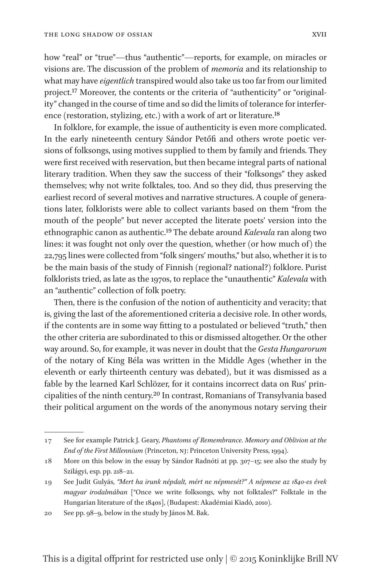how "real" or "true"—thus "authentic"—reports, for example, on miracles or visions are. The discussion of the problem of *memoria* and its relationship to what may have *eigentlich* transpired would also take us too far from our limited project.17 Moreover, the contents or the criteria of "authenticity" or "originality" changed in the course of time and so did the limits of tolerance for interference (restoration, stylizing, etc.) with a work of art or literature.<sup>18</sup>

In folklore, for example, the issue of authenticity is even more complicated. In the early nineteenth century Sándor Petőfi and others wrote poetic versions of folksongs, using motives supplied to them by family and friends. They were first received with reservation, but then became integral parts of national literary tradition. When they saw the success of their "folksongs" they asked themselves; why not write folktales, too. And so they did, thus preserving the earliest record of several motives and narrative structures. A couple of generations later, folklorists were able to collect variants based on them "from the mouth of the people" but never accepted the literate poets' version into the ethnographic canon as authentic.19 The debate around *Kalevala* ran along two lines: it was fought not only over the question, whether (or how much of) the 22,795 lines were collected from "folk singers' mouths," but also, whether it is to be the main basis of the study of Finnish (regional? national?) folklore. Purist folklorists tried, as late as the 1970s, to replace the "unauthentic" *Kalevala* with an "authentic" collection of folk poetry.

Then, there is the confusion of the notion of authenticity and veracity; that is, giving the last of the aforementioned criteria a decisive role. In other words, if the contents are in some way fitting to a postulated or believed "truth," then the other criteria are subordinated to this or dismissed altogether. Or the other way around. So, for example, it was never in doubt that the *Gesta Hungarorum* of the notary of King Béla was written in the Middle Ages (whether in the eleventh or early thirteenth century was debated), but it was dismissed as a fable by the learned Karl Schlözer, for it contains incorrect data on Rus' principalities of the ninth century.20 In contrast, Romanians of Transylvania based their political argument on the words of the anonymous notary serving their

<sup>17</sup> See for example Patrick J. Geary, *Phantoms of Remembrance. Memory and Oblivion at the End of the First Millennium* (Princeton, nj: Princeton University Press, 1994).

<sup>18</sup> More on this below in the essay by Sándor Radnóti at pp. 307–15; see also the study by Szilágyi, esp. pp. 218–21.

<sup>19</sup> See Judit Gulyás, *"Mert ha irunk népdalt, mért ne népmesét?" A népmese az 1840-es évek magyar irodalmában* ["Once we write folksongs, why not folktales?" Folktale in the Hungarian literature of the 1840s], (Budapest: Akadémiai Kiadó, 2010).

<sup>20</sup> See pp. 98–9, below in the study by János M. Bak.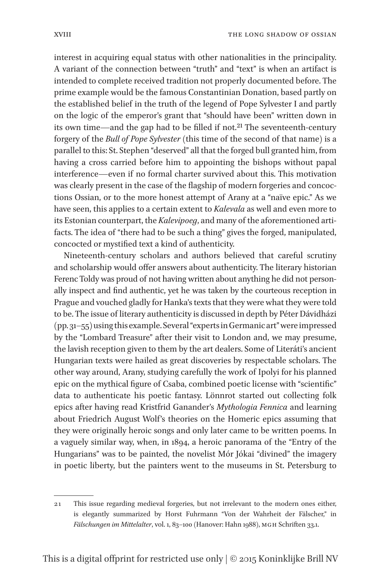interest in acquiring equal status with other nationalities in the principality. A variant of the connection between "truth" and "text" is when an artifact is intended to complete received tradition not properly documented before. The prime example would be the famous Constantinian Donation, based partly on the established belief in the truth of the legend of Pope Sylvester I and partly on the logic of the emperor's grant that "should have been" written down in its own time—and the gap had to be filled if not.21 The seventeenth-century forgery of the *Bull of Pope Sylvester* (this time of the second of that name) is a parallel to this: St. Stephen "deserved" all that the forged bull granted him, from having a cross carried before him to appointing the bishops without papal interference—even if no formal charter survived about this. This motivation was clearly present in the case of the flagship of modern forgeries and concoctions Ossian, or to the more honest attempt of Arany at a "naïve epic." As we have seen, this applies to a certain extent to *Kalevala* as well and even more to

its Estonian counterpart, the *Kalevipoeg*, and many of the aforementioned artifacts. The idea of "there had to be such a thing" gives the forged, manipulated, concocted or mystified text a kind of authenticity.

Nineteenth-century scholars and authors believed that careful scrutiny and scholarship would offer answers about authenticity. The literary historian Ferenc Toldy was proud of not having written about anything he did not personally inspect and find authentic, yet he was taken by the courteous reception in Prague and vouched gladly for Hanka's texts that they were what they were told to be. The issue of literary authenticity is discussed in depth by Péter Dávidházi (pp. 31–55) using this example. Several "experts in Germanic art" were impressed by the "Lombard Treasure" after their visit to London and, we may presume, the lavish reception given to them by the art dealers. Some of Literáti's ancient Hungarian texts were hailed as great discoveries by respectable scholars. The other way around, Arany, studying carefully the work of Ipolyi for his planned epic on the mythical figure of Csaba, combined poetic license with "scientific" data to authenticate his poetic fantasy. Lönnrot started out collecting folk epics after having read Kristfrid Ganander's *Mythologia Fennica* and learning about Friedrich August Wolf's theories on the Homeric epics assuming that they were originally heroic songs and only later came to be written poems. In a vaguely similar way, when, in 1894, a heroic panorama of the "Entry of the Hungarians" was to be painted, the novelist Mór Jókai "divined" the imagery in poetic liberty, but the painters went to the museums in St. Petersburg to

<sup>21</sup> This issue regarding medieval forgeries, but not irrelevant to the modern ones either, is elegantly summarized by Horst Fuhrmann "Von der Wahrheit der Fälscher," in Fälschungen im Mittelalter, vol. 1, 83-100 (Hanover: Hahn 1988), MGH Schriften 33.1.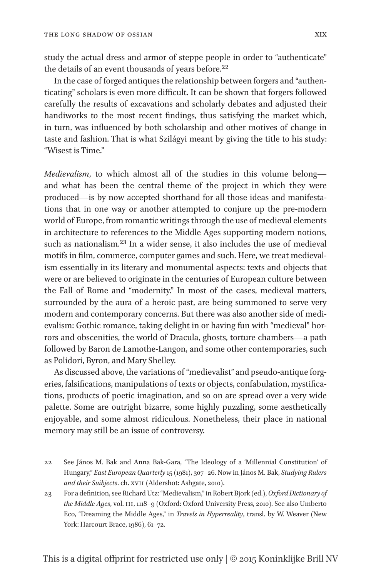study the actual dress and armor of steppe people in order to "authenticate" the details of an event thousands of years before.<sup>22</sup>

In the case of forged antiques the relationship between forgers and "authenticating" scholars is even more difficult. It can be shown that forgers followed carefully the results of excavations and scholarly debates and adjusted their handiworks to the most recent findings, thus satisfying the market which, in turn, was influenced by both scholarship and other motives of change in taste and fashion. That is what Szilágyi meant by giving the title to his study: "Wisest is Time."

*Medievalism*, to which almost all of the studies in this volume belong and what has been the central theme of the project in which they were produced—is by now accepted shorthand for all those ideas and manifestations that in one way or another attempted to conjure up the pre-modern world of Europe, from romantic writings through the use of medieval elements in architecture to references to the Middle Ages supporting modern notions, such as nationalism.<sup>23</sup> In a wider sense, it also includes the use of medieval motifs in film, commerce, computer games and such. Here, we treat medievalism essentially in its literary and monumental aspects: texts and objects that were or are believed to originate in the centuries of European culture between the Fall of Rome and "modernity." In most of the cases, medieval matters, surrounded by the aura of a heroic past, are being summoned to serve very modern and contemporary concerns. But there was also another side of medievalism: Gothic romance, taking delight in or having fun with "medieval" horrors and obscenities, the world of Dracula, ghosts, torture chambers—a path followed by Baron de Lamothe-Langon, and some other contemporaries, such as Polidori, Byron, and Mary Shelley.

As discussed above, the variations of "medievalist" and pseudo-antique forgeries, falsifications, manipulations of texts or objects, confabulation, mystifications, products of poetic imagination, and so on are spread over a very wide palette. Some are outright bizarre, some highly puzzling, some aesthetically enjoyable, and some almost ridiculous. Nonetheless, their place in national memory may still be an issue of controversy.

<sup>22</sup> See János M. Bak and Anna Bak-Gara, "The Ideology of a 'Millennial Constitution' of Hungary," *East European Quarterly* 15 (1981), 307–26. Now in János M. Bak, *Studying Rulers and their Suibjects*. ch. xvii (Aldershot: Ashgate, 2010).

<sup>23</sup> For a definition, see Richard Utz: "Medievalism," in Robert Bjork (ed.), *Oxford Dictionary of the Middle Ages*, vol. iii, 1118–9 (Oxford: Oxford University Press, 2010). See also Umberto Eco, "Dreaming the Middle Ages," in *Travels in Hyperreality*, transl. by W. Weaver (New York: Harcourt Brace, 1986), 61–72.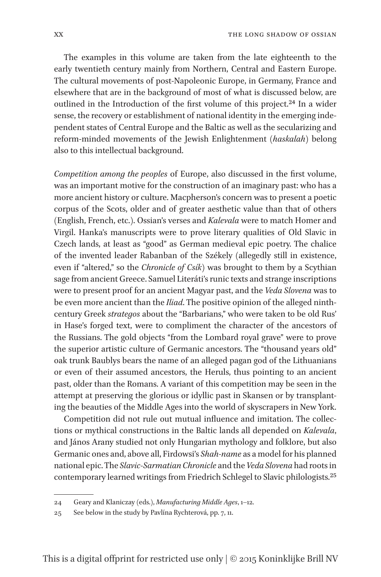The examples in this volume are taken from the late eighteenth to the early twentieth century mainly from Northern, Central and Eastern Europe. The cultural movements of post-Napoleonic Europe, in Germany, France and elsewhere that are in the background of most of what is discussed below, are outlined in the Introduction of the first volume of this project.<sup>24</sup> In a wider sense, the recovery or establishment of national identity in the emerging independent states of Central Europe and the Baltic as well as the secularizing and reform-minded movements of the Jewish Enlightenment (*haskalah*) belong also to this intellectual background.

*Competition among the peoples* of Europe, also discussed in the first volume, was an important motive for the construction of an imaginary past: who has a more ancient history or culture. Macpherson's concern was to present a poetic corpus of the Scots, older and of greater aesthetic value than that of others (English, French, etc.). Ossian's verses and *Kalevala* were to match Homer and Virgil. Hanka's manuscripts were to prove literary qualities of Old Slavic in Czech lands, at least as "good" as German medieval epic poetry. The chalice of the invented leader Rabanban of the Székely (allegedly still in existence, even if "altered," so the *Chronicle of Csík*) was brought to them by a Scythian sage from ancient Greece. Samuel Literáti's runic texts and strange inscriptions were to present proof for an ancient Magyar past, and the *Veda Slovena* was to be even more ancient than the *Iliad*. The positive opinion of the alleged ninthcentury Greek *strategos* about the "Barbarians," who were taken to be old Rus' in Hase's forged text, were to compliment the character of the ancestors of the Russians. The gold objects "from the Lombard royal grave" were to prove the superior artistic culture of Germanic ancestors. The "thousand years old" oak trunk Baublys bears the name of an alleged pagan god of the Lithuanians or even of their assumed ancestors, the Heruls, thus pointing to an ancient past, older than the Romans. A variant of this competition may be seen in the attempt at preserving the glorious or idyllic past in Skansen or by transplanting the beauties of the Middle Ages into the world of skyscrapers in New York.

Competition did not rule out mutual influence and imitation. The collections or mythical constructions in the Baltic lands all depended on *Kalevala*, and János Arany studied not only Hungarian mythology and folklore, but also Germanic ones and, above all, Firdowsi's *Shah-name* as a model for his planned national epic. The *Slavic-Sarmatian Chronicle* and the *Veda Slovena* had roots in contemporary learned writings from Friedrich Schlegel to Slavic philologists.25

<sup>24</sup> Geary and Klaniczay (eds.), *Manufacturing Middle Ages*, 1–12.

<sup>25</sup> See below in the study by Pavlína Rychterová, pp. 7, 11.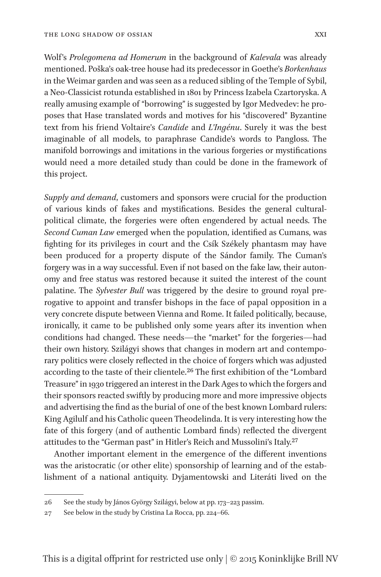Wolf's *Prolegomena ad Homerum* in the background of *Kalevala* was already mentioned. Poška's oak-tree house had its predecessor in Goethe's *Borkenhaus* in the Weimar garden and was seen as a reduced sibling of the Temple of Sybil, a Neo-Classicist rotunda established in 1801 by Princess Izabela Czartoryska. A really amusing example of "borrowing" is suggested by Igor Medvedev: he proposes that Hase translated words and motives for his "discovered" Byzantine text from his friend Voltaire's *Candide* and *L'Ingénu*. Surely it was the best imaginable of all models, to paraphrase Candide's words to Pangloss. The manifold borrowings and imitations in the various forgeries or mystifications would need a more detailed study than could be done in the framework of this project.

*Supply and demand*, customers and sponsors were crucial for the production of various kinds of fakes and mystifications. Besides the general culturalpolitical climate, the forgeries were often engendered by actual needs. The *Second Cuman Law* emerged when the population, identified as Cumans, was fighting for its privileges in court and the Csík Székely phantasm may have been produced for a property dispute of the Sándor family. The Cuman's forgery was in a way successful. Even if not based on the fake law, their autonomy and free status was restored because it suited the interest of the count palatine. The *Sylvester Bull* was triggered by the desire to ground royal prerogative to appoint and transfer bishops in the face of papal opposition in a very concrete dispute between Vienna and Rome. It failed politically, because, ironically, it came to be published only some years after its invention when conditions had changed. These needs—the "market" for the forgeries—had their own history. Szilágyi shows that changes in modern art and contemporary politics were closely reflected in the choice of forgers which was adjusted according to the taste of their clientele.26 The first exhibition of the "Lombard Treasure" in 1930 triggered an interest in the Dark Ages to which the forgers and their sponsors reacted swiftly by producing more and more impressive objects and advertising the find as the burial of one of the best known Lombard rulers: King Agilulf and his Catholic queen Theodelinda. It is very interesting how the fate of this forgery (and of authentic Lombard finds) reflected the divergent attitudes to the "German past" in Hitler's Reich and Mussolini's Italy.27

Another important element in the emergence of the different inventions was the aristocratic (or other elite) sponsorship of learning and of the establishment of a national antiquity. Dyjamentowski and Literáti lived on the

<sup>26</sup> See the study by János György Szilágyi, below at pp. 173–223 passim.

<sup>27</sup> See below in the study by Cristina La Rocca, pp. 224–66.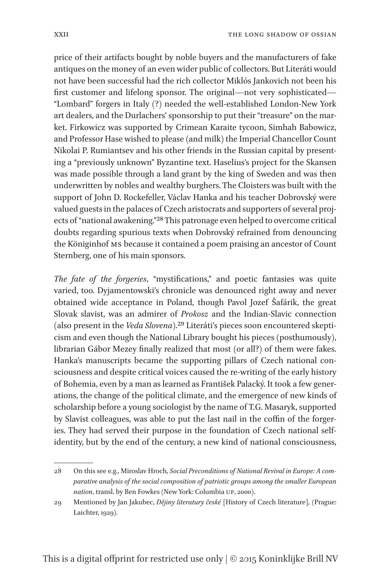price of their artifacts bought by noble buyers and the manufacturers of fake antiques on the money of an even wider public of collectors. But Literáti would not have been successful had the rich collector Miklós Jankovich not been his first customer and lifelong sponsor. The original—not very sophisticated— "Lombard" forgers in Italy (?) needed the well-established London-New York art dealers, and the Durlachers' sponsorship to put their "treasure" on the market. Firkowicz was supported by Crimean Karaite tycoon, Simhah Babowicz, and Professor Hase wished to please (and milk) the Imperial Chancellor Count Nikolai P. Rumiantsev and his other friends in the Russian capital by presenting a "previously unknown" Byzantine text. Haselius's project for the Skansen was made possible through a land grant by the king of Sweden and was then underwritten by nobles and wealthy burghers. The Cloisters was built with the support of John D. Rockefeller, Václav Hanka and his teacher Dobrovský were valued guests in the palaces of Czech aristocrats and supporters of several projects of "national awakening."28 This patronage even helped to overcome critical doubts regarding spurious texts when Dobrovský refrained from denouncing the Königinhof ms because it contained a poem praising an ancestor of Count Sternberg, one of his main sponsors.

*The fate of the forgeries*, "mystifications," and poetic fantasies was quite varied, too. Dyjamentowski's chronicle was denounced right away and never obtained wide acceptance in Poland, though Pavol Jozef Šafárik, the great Slovak slavist, was an admirer of *Prokosz* and the Indian-Slavic connection (also present in the *Veda Slovena*).29 Literáti's pieces soon encountered skepticism and even though the National Library bought his pieces (posthumously), librarian Gábor Mezey finally realized that most (or all?) of them were fakes. Hanka's manuscripts became the supporting pillars of Czech national consciousness and despite critical voices caused the re-writing of the early history of Bohemia, even by a man as learned as František Palacký. It took a few generations, the change of the political climate, and the emergence of new kinds of scholarship before a young sociologist by the name of T.G. Masaryk, supported by Slavist colleagues, was able to put the last nail in the coffin of the forgeries. They had served their purpose in the foundation of Czech national selfidentity, but by the end of the century, a new kind of national consciousness,

<sup>28</sup> On this see e.g., Miroslav Hroch, *Social Preconditions of National Revival in Europe: A comparative analysis of the social composition of patriotic groups among the smaller European nation*, transl. by Ben Fowkes (New York: Columbia up, 2000).

<sup>29</sup> Mentioned by Jan Jakubec, *Dějiny literatury české* [History of Czech literature], (Prague: Laichter, 1929).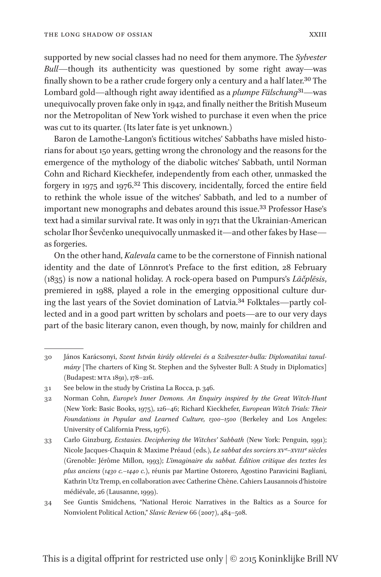supported by new social classes had no need for them anymore. The *Sylvester Bull*—though its authenticity was questioned by some right away—was finally shown to be a rather crude forgery only a century and a half later.<sup>30</sup> The Lombard gold—although right away identified as a *plumpe Fälschung*31—was unequivocally proven fake only in 1942, and finally neither the British Museum nor the Metropolitan of New York wished to purchase it even when the price was cut to its quarter. (Its later fate is yet unknown.)

Baron de Lamothe-Langon's fictitious witches' Sabbaths have misled historians for about 150 years, getting wrong the chronology and the reasons for the emergence of the mythology of the diabolic witches' Sabbath, until Norman Cohn and Richard Kieckhefer, independently from each other, unmasked the forgery in 1975 and 1976.32 This discovery, incidentally, forced the entire field to rethink the whole issue of the witches' Sabbath, and led to a number of important new monographs and debates around this issue.<sup>33</sup> Professor Hase's text had a similar survival rate. It was only in 1971 that the Ukrainian-American scholar Ihor Ševčenko unequivocally unmasked it—and other fakes by Hase as forgeries.

On the other hand, *Kalevala* came to be the cornerstone of Finnish national identity and the date of Lönnrot's Preface to the first edition, 28 February (1835) is now a national holiday. A rock-opera based on Pumpurs's *Lāčplēsis*, premiered in 1988, played a role in the emerging oppositional culture during the last years of the Soviet domination of Latvia.34 Folktales—partly collected and in a good part written by scholars and poets—are to our very days part of the basic literary canon, even though, by now, mainly for children and

<sup>30</sup> János Karácsonyi, *Szent István király oklevelei és a Szilveszter-bulla: Diplomatikai tanulmány* [The charters of King St. Stephen and the Sylvester Bull: A Study in Diplomatics] (Budapest: MTA 1891), 178-216.

<sup>31</sup> See below in the study by Cristina La Rocca, p. 346.

<sup>32</sup> Norman Cohn, *Europe's Inner Demons. An Enquiry inspired by the Great Witch-Hunt* (New York: Basic Books, 1975), 126–46; Richard Kieckhefer, *European Witch Trials: Their Foundations in Popular and Learned Culture, 1300–1500* (Berkeley and Los Angeles: University of California Press, 1976).

<sup>33</sup> Carlo Ginzburg, *Ecstasies. Deciphering the Witches' Sabbath* (New York: Penguin, 1991); Nicole Jacques-Chaquin & Maxime Préaud (eds.), *Le sabbat des sorciers xve–xviiie siècles* (Grenoble: Jérôme Millon, 1993); *L'imaginaire du sabbat. Édition critique des textes les plus anciens (1430 c.–1440 c.)*, réunis par Martine Ostorero, Agostino Paravicini Bagliani, Kathrin Utz Tremp, en collaboration avec Catherine Chène. Cahiers Lausannois d'histoire médiévale, 26 (Lausanne, 1999).

<sup>34</sup> See Guntis Smidchens, "National Heroic Narratives in the Baltics as a Source for Nonviolent Political Action," *Slavic Review* 66 (2007), 484–508.